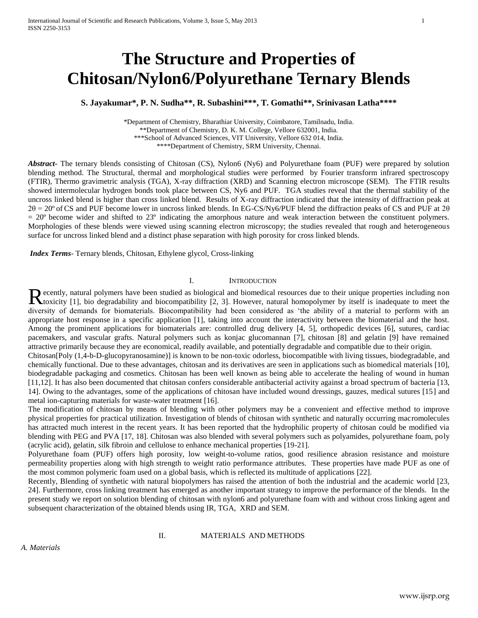# **The Structure and Properties of Chitosan/Nylon6/Polyurethane Ternary Blends**

**S. Jayakumar\*, P. N. Sudha\*\*, R. Subashini\*\*\*, T. Gomathi\*\*, Srinivasan Latha\*\*\*\***

\*Department of Chemistry, Bharathiar University, Coimbatore, Tamilnadu, India. \*\*Department of Chemistry, D. K. M. College, Vellore 632001, India. \*\*\*School of Advanced Sciences, VIT University, Vellore 632 014, India. \*\*\*\*Department of Chemistry, SRM University, Chennai.

*Abstract***-** The ternary blends consisting of Chitosan (CS), Nylon6 (Ny6) and Polyurethane foam (PUF) were prepared by solution blending method. The Structural, thermal and morphological studies were performed by Fourier transform infrared spectroscopy (FTIR), Thermo gravimetric analysis (TGA), X-ray diffraction (XRD) and Scanning electron microscope (SEM). The FTIR results showed intermolecular hydrogen bonds took place between CS, Ny6 and PUF. TGA studies reveal that the thermal stability of the uncross linked blend is higher than cross linked blend. Results of X-ray diffraction indicated that the intensity of diffraction peak at 2θ = 20º of CS and PUF become lower in uncross linked blends. In EG-CS/Ny6/PUF blend the diffraction peaks of CS and PUF at 2θ  $= 20^{\circ}$  become wider and shifted to  $23^{\circ}$  indicating the amorphous nature and weak interaction between the constituent polymers. Morphologies of these blends were viewed using scanning electron microscopy; the studies revealed that rough and heterogeneous surface for uncross linked blend and a distinct phase separation with high porosity for cross linked blends.

*Index Terms*- Ternary blends, Chitosan, Ethylene glycol, Cross-linking

## I. INTRODUCTION

ecently, natural polymers have been studied as biological and biomedical resources due to their unique properties including non Recently, natural polymers have been studied as biological and biomedical resources due to their unique properties including non toxicity [1], bio degradability and biocompatibility [2, 3]. However, natural homopolymer by diversity of demands for biomaterials. Biocompatibility had been considered as 'the ability of a material to perform with an appropriate host response in a specific application [1], taking into account the interactivity between the biomaterial and the host. Among the prominent applications for biomaterials are: controlled drug delivery [4, 5], orthopedic devices [6], sutures, cardiac pacemakers, and vascular grafts. Natural polymers such as konjac glucomannan [7], chitosan [8] and gelatin [9] have remained attractive primarily because they are economical, readily available, and potentially degradable and compatible due to their origin.

Chitosan[Poly (1,4-b-D-glucopyranosamine)] is known to be non-toxic odorless, biocompatible with living tissues, biodegradable, and chemically functional. Due to these advantages, chitosan and its derivatives are seen in applications such as biomedical materials [10], biodegradable packaging and cosmetics. Chitosan has been well known as being able to accelerate the healing of wound in human [11,12]. It has also been documented that chitosan confers considerable antibacterial activity against a broad spectrum of bacteria [13, 14]. Owing to the advantages, some of the applications of chitosan have included wound dressings, gauzes, medical sutures [15] and metal ion-capturing materials for waste-water treatment [16].

The modification of chitosan by means of blending with other polymers may be a convenient and effective method to improve physical properties for practical utilization. Investigation of blends of chitosan with synthetic and naturally occurring macromolecules has attracted much interest in the recent years. It has been reported that the hydrophilic property of chitosan could be modified via blending with PEG and PVA [17, 18]. Chitosan was also blended with several polymers such as polyamides, polyurethane foam, poly (acrylic acid), gelatin, silk fibroin and cellulose to enhance mechanical properties [19-21].

Polyurethane foam (PUF) offers high porosity, low weight-to-volume ratios, good resilience abrasion resistance and moisture permeability properties along with high strength to weight ratio performance attributes. These properties have made PUF as one of the most common polymeric foam used on a global basis, which is reflected its multitude of applications [22].

Recently, Blending of synthetic with natural biopolymers has raised the attention of both the industrial and the academic world [23, 24]. Furthermore, cross linking treatment has emerged as another important strategy to improve the performance of the blends. In the present study we report on solution blending of chitosan with nylon6 and polyurethane foam with and without cross linking agent and subsequent characterization of the obtained blends using IR, TGA, XRD and SEM.

## II. MATERIALS AND METHODS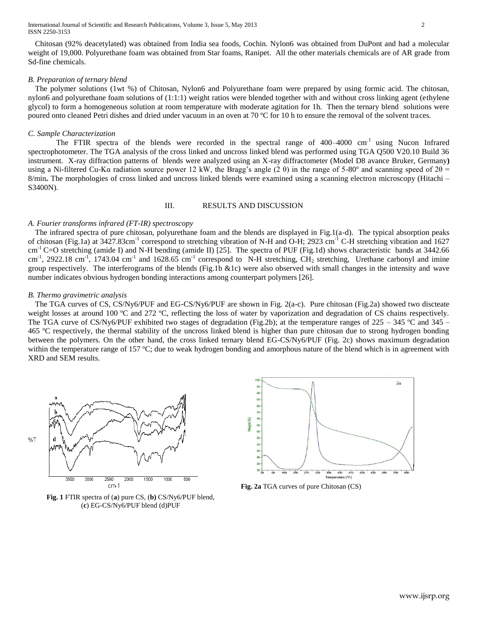Chitosan (92% deacetylated) was obtained from India sea foods, Cochin. Nylon6 was obtained from DuPont and had a molecular weight of 19,000. Polyurethane foam was obtained from Star foams, Ranipet. All the other materials chemicals are of AR grade from Sd-fine chemicals.

## *B. Preparation of ternary blend*

The polymer solutions (1wt %) of Chitosan, Nylon6 and Polyurethane foam were prepared by using formic acid. The chitosan, nylon6 and polyurethane foam solutions of (1:1:1) weight ratios were blended together with and without cross linking agent (ethylene glycol) to form a homogeneous solution at room temperature with moderate agitation for 1h. Then the ternary blend solutions were poured onto cleaned Petri dishes and dried under vacuum in an oven at 70 ºC for 10 h to ensure the removal of the solvent traces.

#### *C. Sample Characterization*

The FTIR spectra of the blends were recorded in the spectral range of  $400-4000$  cm<sup>-1</sup> using Nucon Infrared spectrophotometer. The TGA analysis of the cross linked and uncross linked blend was performed using TGA Q500 V20.10 Build 36 instrument. X-ray diffraction patterns of blends were analyzed using an X-ray diffractometer (Model D8 avance Bruker, Germany**)** using a Ni-filtered Cu-Kα radiation source power 12 kW, the Bragg's angle (2 θ) in the range of 5-80° and scanning speed of  $2θ$  = 8/min. The morphologies of cross linked and uncross linked blends were examined using a scanning electron microscopy (Hitachi – S3400N).

## III. RESULTS AND DISCUSSION

#### *A. Fourier transforms infrared (FT-IR) spectroscopy*

The infrared spectra of pure chitosan, polyurethane foam and the blends are displayed in Fig.1(a-d). The typical absorption peaks of chitosan (Fig.1a) at 3427.83cm<sup>-1</sup> correspond to stretching vibration of N-H and O-H; 2923 cm<sup>-1</sup> C-H stretching vibration and 1627 cm<sup>-1</sup> C=O stretching (amide I) and N-H bending (amide II) [25]. The spectra of PUF (Fig.1d) shows characteristic bands at 3442.66 cm<sup>-1</sup>, 2922.18 cm<sup>-1</sup>, 1743.04 cm<sup>-1</sup> and 1628.65 cm<sup>-1</sup> correspond to N-H stretching, CH<sub>2</sub> stretching, Urethane carbonyl and imine group respectively. The interferograms of the blends (Fig.1b &1c) were also observed with small changes in the intensity and wave number indicates obvious hydrogen bonding interactions among counterpart polymers [26].

#### *B. Thermo gravimetric analysis*

The TGA curves of CS, CS/Ny6/PUF and EG-CS/Ny6/PUF are shown in Fig. 2(a-c). Pure chitosan (Fig.2a) showed two discteate weight losses at around 100 °C and 272 °C, reflecting the loss of water by vaporization and degradation of CS chains respectively. The TGA curve of CS/Ny6/PUF exhibited two stages of degradation (Fig.2b); at the temperature ranges of  $225 - 345$  °C and  $345 -$ 465 ºC respectively, the thermal stability of the uncross linked blend is higher than pure chitosan due to strong hydrogen bonding between the polymers. On the other hand, the cross linked ternary blend EG-CS/Ny6/PUF (Fig. 2c) shows maximum degradation within the temperature range of 157 °C; due to weak hydrogen bonding and amorphous nature of the blend which is in agreement with XRD and SEM results.







**Fig. 2a** TGA curves of pure Chitosan (CS)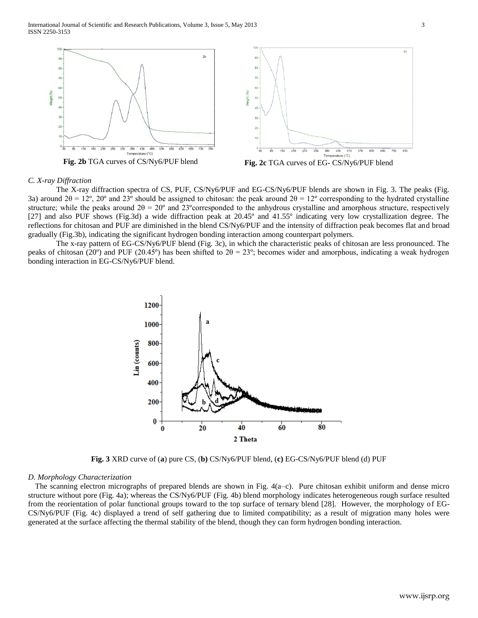International Journal of Scientific and Research Publications, Volume 3, Issue 5, May 2013 3 ISSN 2250-3153



## *C. X-ray Diffraction*

The X-ray diffraction spectra of CS, PUF, CS/Ny6/PUF and EG-CS/Ny6/PUF blends are shown in Fig. 3. The peaks (Fig. 3a) around  $2\theta = 12^{\circ}$ ,  $20^{\circ}$  and  $23^{\circ}$  should be assigned to chitosan: the peak around  $2\theta = 12^{\circ}$  corresponding to the hydrated crystalline structure; while the peaks around  $2\theta = 20^{\circ}$  and  $23^{\circ}$ corresponded to the anhydrous crystalline and amorphous structure, respectively [27] and also PUF shows (Fig.3d) a wide diffraction peak at 20.45º and 41.55º indicating very low crystallization degree. The reflections for chitosan and PUF are diminished in the blend CS/Ny6/PUF and the intensity of diffraction peak becomes flat and broad gradually (Fig.3b), indicating the significant hydrogen bonding interaction among counterpart polymers.

The x-ray pattern of EG-CS/Ny6/PUF blend (Fig. 3c), in which the characteristic peaks of chitosan are less pronounced. The peaks of chitosan (20°) and PUF (20.45°) has been shifted to  $2\theta = 23^\circ$ ; becomes wider and amorphous, indicating a weak hydrogen bonding interaction in EG-CS/Ny6/PUF blend.



**Fig. 3** XRD curve of (**a**) pure CS, (**b)** CS/Ny6/PUF blend, (**c)** EG-CS/Ny6/PUF blend (d) PUF

#### *D. Morphology Characterization*

The scanning electron micrographs of prepared blends are shown in Fig.  $4(a-c)$ . Pure chitosan exhibit uniform and dense micro structure without pore (Fig. 4a); whereas the CS/Ny6/PUF (Fig. 4b) blend morphology indicates heterogeneous rough surface resulted from the reorientation of polar functional groups toward to the top surface of ternary blend [28]. However, the morphology of EG-CS/Ny6/PUF (Fig. 4c) displayed a trend of self gathering due to limited compatibility; as a result of migration many holes were generated at the surface affecting the thermal stability of the blend, though they can form hydrogen bonding interaction.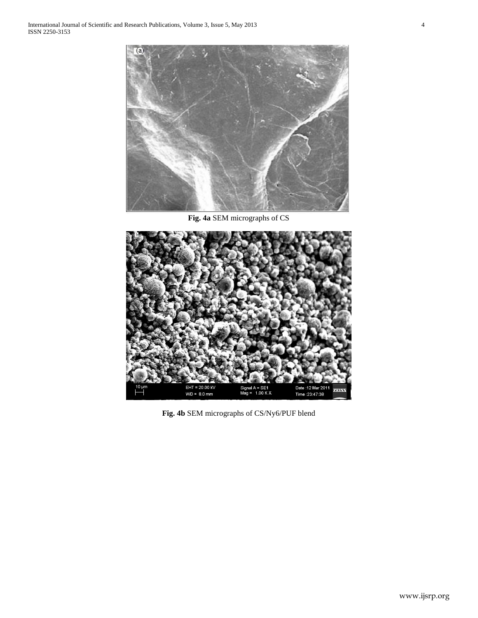

**Fig. 4a** SEM micrographs of CS



**Fig. 4b** SEM micrographs of CS/Ny6/PUF blend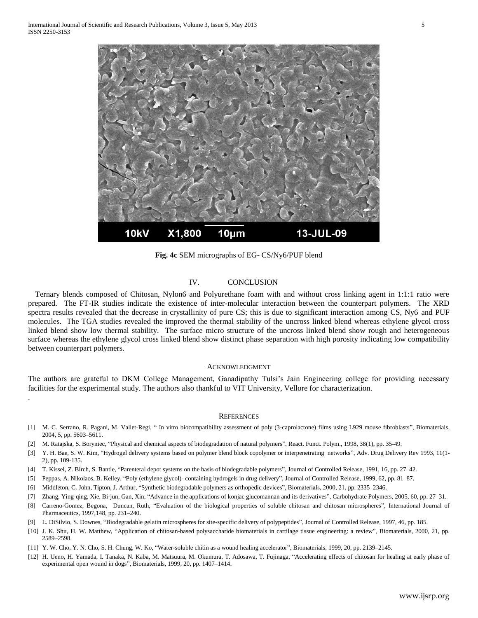.



**Fig. 4c** SEM micrographs of EG- CS/Ny6/PUF blend

# IV. CONCLUSION

Ternary blends composed of Chitosan, Nylon6 and Polyurethane foam with and without cross linking agent in 1:1:1 ratio were prepared. The FT-IR studies indicate the existence of inter-molecular interaction between the counterpart polymers. The XRD spectra results revealed that the decrease in crystallinity of pure CS; this is due to significant interaction among CS, Ny6 and PUF molecules. The TGA studies revealed the improved the thermal stability of the uncross linked blend whereas ethylene glycol cross linked blend show low thermal stability. The surface micro structure of the uncross linked blend show rough and heterogeneous surface whereas the ethylene glycol cross linked blend show distinct phase separation with high porosity indicating low compatibility between counterpart polymers.

#### ACKNOWLEDGMENT

The authors are grateful to DKM College Management, Ganadipathy Tulsi's Jain Engineering college for providing necessary facilities for the experimental study. The authors also thankful to VIT University, Vellore for characterization.

#### **REFERENCES**

- [1] M. C. Serrano, R. Pagani, M. Vallet-Regi, " In vitro biocompatibility assessment of poly (3-caprolactone) films using L929 mouse fibroblasts", Biomaterials, 2004, 5, pp. 5603–5611.
- [2] M. Ratajska, S. Boryniec, "Physical and chemical aspects of biodegradation of natural polymers", React. Funct. Polym., 1998, 38(1), pp. 35-49.
- [3] Y. H. Bae, S. W. Kim, "Hydrogel delivery systems based on polymer blend block copolymer or interpenetrating networks", Adv. Drug Delivery Rev 1993, 11(1- 2), pp. 109-135.
- [4] T. Kissel, Z. Birch, S. Bantle, "Parenteral depot systems on the basis of biodegradable polymers", Journal of Controlled Release, 1991, 16, pp. 27–42.
- [5] Peppas, A. Nikolaos, B. Kelley, "Poly (ethylene glycol)- containing hydrogels in drug delivery", Journal of Controlled Release, 1999, 62, pp. 81–87.
- [6] Middleton, C. John, Tipton, J. Arthur, "Synthetic biodegradable polymers as orthopedic devices", Biomaterials, 2000, 21, pp. 2335–2346.
- [7] Zhang, Ying-qing, Xie, Bi-jun, Gan, Xin, "Advance in the applications of konjac glucomannan and its derivatives", Carbohydrate Polymers, 2005, 60, pp. 27–31.
- [8] Carreno-Gomez, Begona, Duncan, Ruth, "Evaluation of the biological properties of soluble chitosan and chitosan microspheres", International Journal of Pharmaceutics, 1997,148, pp. 231–240.
- [9] L. DiSilvio, S. Downes, "Biodegradable gelatin microspheres for site-specific delivery of polypeptides", Journal of Controlled Release, 1997, 46, pp. 185.
- [10] J. K. Shu, H. W. Matthew, "Application of chitosan-based polysaccharide biomaterials in cartilage tissue engineering: a review", Biomaterials, 2000, 21, pp. 2589–2598.
- [11] Y. W. Cho, Y. N. Cho, S. H. Chung, W. Ko, "Water-soluble chitin as a wound healing accelerator", Biomaterials, 1999, 20, pp. 2139–2145.
- [12] H. Ueno, H. Yamada, I. Tanaka, N. Kaba, M. Matsuura, M. Okumura, T. Adosawa, T. Fujinaga, "Accelerating effects of chitosan for healing at early phase of experimental open wound in dogs", Biomaterials, 1999, 20, pp. 1407–1414.